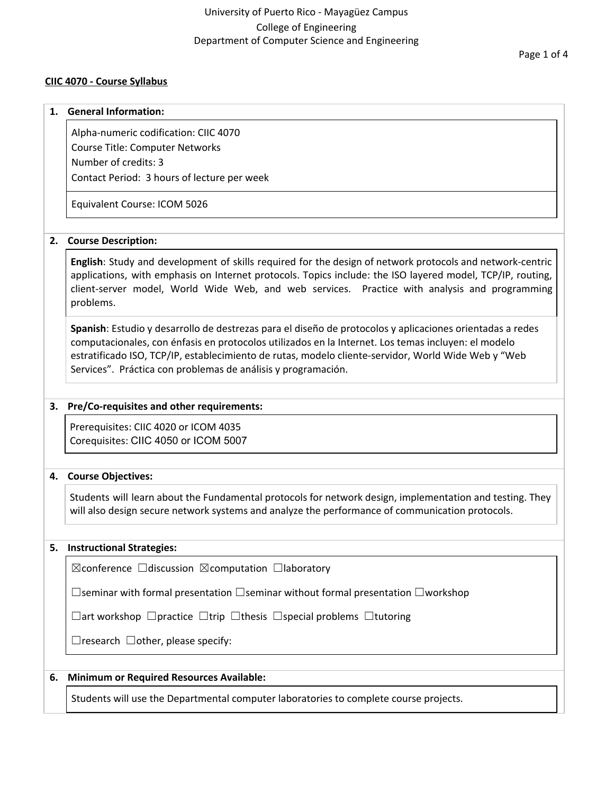### **CIIC 4070 - Course Syllabus**

#### **1. General Information:**

Alpha-numeric codification: CIIC 4070 Course Title: Computer Networks Number of credits: 3 Contact Period: 3 hours of lecture per week

Equivalent Course: ICOM 5026

### **2. Course Description:**

**English**: Study and development of skills required for the design of network protocols and network-centric applications, with emphasis on Internet protocols. Topics include: the ISO layered model, TCP/IP, routing, client-server model, World Wide Web, and web services. Practice with analysis and programming problems.

**Spanish**: Estudio y desarrollo de destrezas para el diseño de protocolos y aplicaciones orientadas a redes computacionales, con énfasis en protocolos utilizados en la Internet. Los temas incluyen: el modelo estratificado ISO, TCP/IP, establecimiento de rutas, modelo cliente-servidor, World Wide Web y "Web Services". Práctica con problemas de análisis y programación.

#### **3. Pre/Co-requisites and other requirements:**

Prerequisites: CIIC 4020 or ICOM 4035 Corequisites: CIIC 4050 or ICOM 5007

#### **4. Course Objectives:**

Students will learn about the Fundamental protocols for network design, implementation and testing. They will also design secure network systems and analyze the performance of communication protocols.

#### **5. Instructional Strategies:**

☒conference ☐discussion ☒computation ☐laboratory

☐seminar with formal presentation ☐seminar without formal presentation ☐workshop

☐art workshop ☐practice ☐trip ☐thesis ☐special problems ☐tutoring

 $\Box$ research  $\Box$ other, please specify:

#### **6. Minimum or Required Resources Available:**

Students will use the Departmental computer laboratories to complete course projects.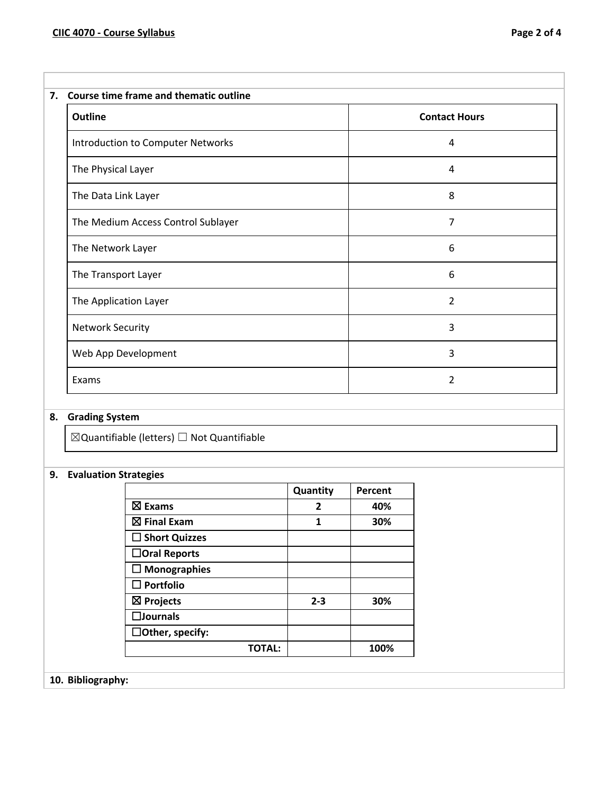| Course time frame and thematic outline<br>7. |  |  |
|----------------------------------------------|--|--|
| <b>Contact Hours</b>                         |  |  |
| 4                                            |  |  |
| 4                                            |  |  |
| 8                                            |  |  |
| 7                                            |  |  |
| 6                                            |  |  |
| 6                                            |  |  |
| $\overline{2}$                               |  |  |
| 3                                            |  |  |
| 3                                            |  |  |
| $\overline{2}$                               |  |  |
|                                              |  |  |

# **8. Grading System**

 $\boxtimes$ Quantifiable (letters)  $\Box$  Not Quantifiable

# **9. Evaluation Strategies**

|                        | Quantity | Percent |
|------------------------|----------|---------|
| $\boxtimes$ Exams      | 2        | 40%     |
| $\boxtimes$ Final Exam | 1        | 30%     |
| $\Box$ Short Quizzes   |          |         |
| □Oral Reports          |          |         |
| $\square$ Monographies |          |         |
| $\square$ Portfolio    |          |         |
| $\boxtimes$ Projects   | $2 - 3$  | 30%     |
| $\square$ Journals     |          |         |
| $\Box$ Other, specify: |          |         |
| <b>TOTAL:</b>          |          | 100%    |

**10. Bibliography:**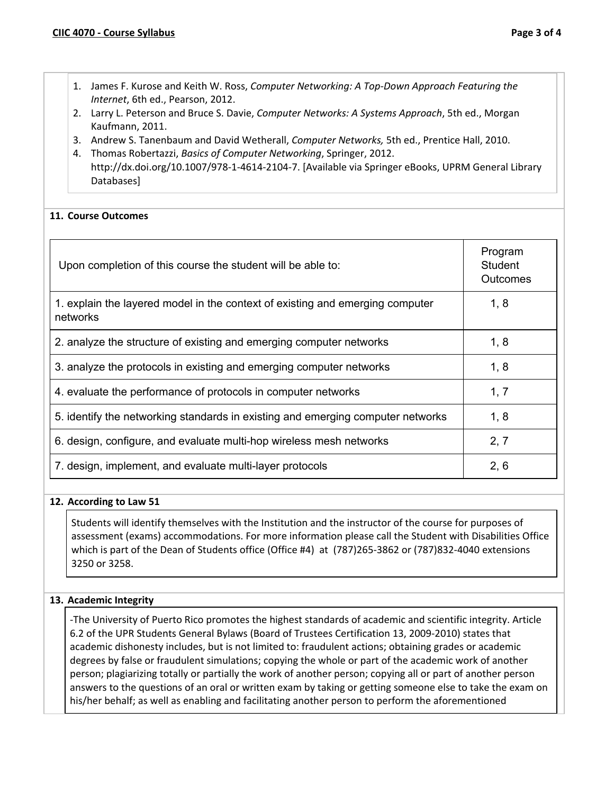- 1. James F. Kurose and Keith W. Ross, *Computer Networking: A Top-Down Approach Featuring the Internet*, 6th ed., Pearson, 2012.
- 2. Larry L. Peterson and Bruce S. Davie, *Computer Networks: A Systems Approach*, 5th ed., Morgan Kaufmann, 2011.
- 3. Andrew S. Tanenbaum and David Wetherall, *Computer Networks,* 5th ed., Prentice Hall, 2010.
- 4. Thomas Robertazzi, *Basics of Computer Networking*, Springer, 2012. http://dx.doi.org/10.1007/978-1-4614-2104-7. [Available via Springer eBooks, UPRM General Library Databases]

## **11. Course Outcomes**

| Upon completion of this course the student will be able to:                               | Program<br>Student<br>Outcomes |
|-------------------------------------------------------------------------------------------|--------------------------------|
| 1. explain the layered model in the context of existing and emerging computer<br>networks | 1, 8                           |
| 2. analyze the structure of existing and emerging computer networks                       | 1, 8                           |
| 3. analyze the protocols in existing and emerging computer networks                       | 1, 8                           |
| 4. evaluate the performance of protocols in computer networks                             | 1, 7                           |
| 5. identify the networking standards in existing and emerging computer networks           | 1, 8                           |
| 6. design, configure, and evaluate multi-hop wireless mesh networks                       | 2, 7                           |
| 7. design, implement, and evaluate multi-layer protocols                                  | 2, 6                           |

## **12. According to Law 51**

Students will identify themselves with the Institution and the instructor of the course for purposes of assessment (exams) accommodations. For more information please call the Student with Disabilities Office which is part of the Dean of Students office (Office #4) at (787)265-3862 or (787)832-4040 extensions 3250 or 3258.

## **13. Academic Integrity**

-The University of Puerto Rico promotes the highest standards of academic and scientific integrity. Article 6.2 of the UPR Students General Bylaws (Board of Trustees Certification 13, 2009-2010) states that academic dishonesty includes, but is not limited to: fraudulent actions; obtaining grades or academic degrees by false or fraudulent simulations; copying the whole or part of the academic work of another person; plagiarizing totally or partially the work of another person; copying all or part of another person answers to the questions of an oral or written exam by taking or getting someone else to take the exam on his/her behalf; as well as enabling and facilitating another person to perform the aforementioned